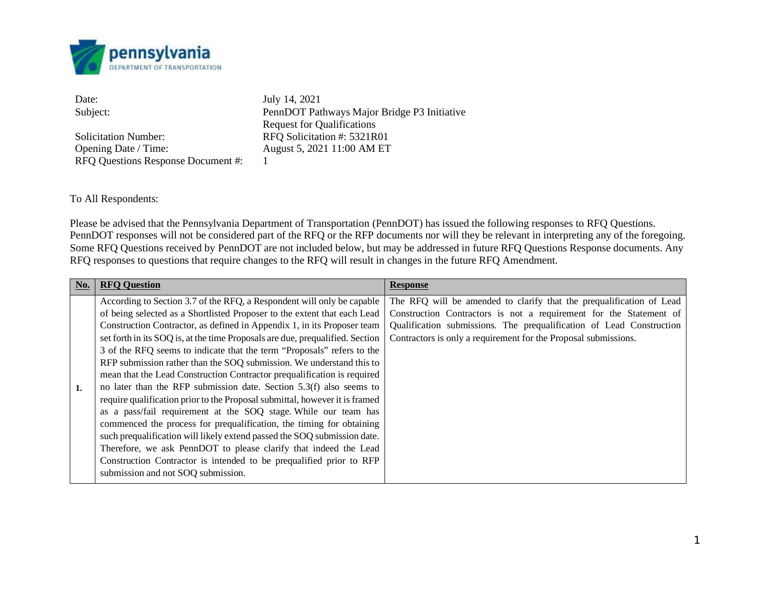

Solicitation Number: RFQ Solicitation #: 5321R01 Opening Date / Time: August 5, 2021 11:00 AM ET RFQ Questions Response Document #: 1

Date: July 14, 2021 Subject: PennDOT Pathways Major Bridge P3 Initiative Request for Qualifications

To All Respondents:

Please be advised that the Pennsylvania Department of Transportation (PennDOT) has issued the following responses to RFQ Questions. PennDOT responses will not be considered part of the RFQ or the RFP documents nor will they be relevant in interpreting any of the foregoing. Some RFQ Questions received by PennDOT are not included below, but may be addressed in future RFQ Questions Response documents. Any RFQ responses to questions that require changes to the RFQ will result in changes in the future RFQ Amendment.

| No. | <b>RFO Question</b>                                                                                                                                                                                                                                                                                                                                                                                                                                                                                                                                                                                                                                                                                                                                                                                                                                                                                                                                                                                                                                                                                         | <b>Response</b>                                                                                                                                                                                                                                                                       |
|-----|-------------------------------------------------------------------------------------------------------------------------------------------------------------------------------------------------------------------------------------------------------------------------------------------------------------------------------------------------------------------------------------------------------------------------------------------------------------------------------------------------------------------------------------------------------------------------------------------------------------------------------------------------------------------------------------------------------------------------------------------------------------------------------------------------------------------------------------------------------------------------------------------------------------------------------------------------------------------------------------------------------------------------------------------------------------------------------------------------------------|---------------------------------------------------------------------------------------------------------------------------------------------------------------------------------------------------------------------------------------------------------------------------------------|
| 1.  | According to Section 3.7 of the RFQ, a Respondent will only be capable<br>of being selected as a Shortlisted Proposer to the extent that each Lead<br>Construction Contractor, as defined in Appendix 1, in its Proposer team<br>set forth in its SOQ is, at the time Proposals are due, prequalified. Section<br>3 of the RFQ seems to indicate that the term "Proposals" refers to the<br>RFP submission rather than the SOQ submission. We understand this to<br>mean that the Lead Construction Contractor prequalification is required<br>no later than the RFP submission date. Section $5.3(f)$ also seems to<br>require qualification prior to the Proposal submittal, however it is framed<br>as a pass/fail requirement at the SOQ stage. While our team has<br>commenced the process for prequalification, the timing for obtaining<br>such prequalification will likely extend passed the SOQ submission date.<br>Therefore, we ask PennDOT to please clarify that indeed the Lead<br>Construction Contractor is intended to be prequalified prior to RFP<br>submission and not SOQ submission. | The RFQ will be amended to clarify that the prequalification of Lead<br>Construction Contractors is not a requirement for the Statement of<br>Qualification submissions. The prequalification of Lead Construction<br>Contractors is only a requirement for the Proposal submissions. |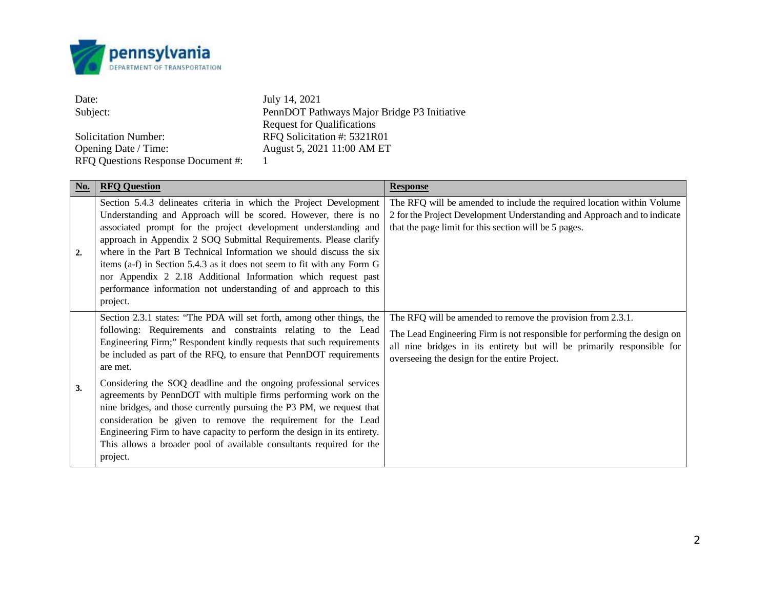

| Date:                              | July 14, 2021                               |
|------------------------------------|---------------------------------------------|
| Subject:                           | PennDOT Pathways Major Bridge P3 Initiative |
|                                    | Request for Qualifications                  |
| <b>Solicitation Number:</b>        | RFO Solicitation #: 5321R01                 |
| Opening Date / Time:               | August 5, 2021 11:00 AM ET                  |
| RFQ Questions Response Document #: |                                             |

| No. | <b>RFQ Question</b>                                                                                                                                                                                                                                                                                                                                                                                                                                                                                                                                                                                                                                                                                                                                   | <b>Response</b>                                                                                                                                                                                                                                                     |
|-----|-------------------------------------------------------------------------------------------------------------------------------------------------------------------------------------------------------------------------------------------------------------------------------------------------------------------------------------------------------------------------------------------------------------------------------------------------------------------------------------------------------------------------------------------------------------------------------------------------------------------------------------------------------------------------------------------------------------------------------------------------------|---------------------------------------------------------------------------------------------------------------------------------------------------------------------------------------------------------------------------------------------------------------------|
| 2.  | Section 5.4.3 delineates criteria in which the Project Development<br>Understanding and Approach will be scored. However, there is no<br>associated prompt for the project development understanding and<br>approach in Appendix 2 SOQ Submittal Requirements. Please clarify<br>where in the Part B Technical Information we should discuss the six<br>items (a-f) in Section 5.4.3 as it does not seem to fit with any Form G<br>nor Appendix 2 2.18 Additional Information which request past<br>performance information not understanding of and approach to this<br>project.                                                                                                                                                                     | The RFQ will be amended to include the required location within Volume<br>2 for the Project Development Understanding and Approach and to indicate<br>that the page limit for this section will be 5 pages.                                                         |
| 3.  | Section 2.3.1 states: "The PDA will set forth, among other things, the<br>following: Requirements and constraints relating to the Lead<br>Engineering Firm;" Respondent kindly requests that such requirements<br>be included as part of the RFQ, to ensure that PennDOT requirements<br>are met.<br>Considering the SOQ deadline and the ongoing professional services<br>agreements by PennDOT with multiple firms performing work on the<br>nine bridges, and those currently pursuing the P3 PM, we request that<br>consideration be given to remove the requirement for the Lead<br>Engineering Firm to have capacity to perform the design in its entirety.<br>This allows a broader pool of available consultants required for the<br>project. | The RFQ will be amended to remove the provision from 2.3.1.<br>The Lead Engineering Firm is not responsible for performing the design on<br>all nine bridges in its entirety but will be primarily responsible for<br>overseeing the design for the entire Project. |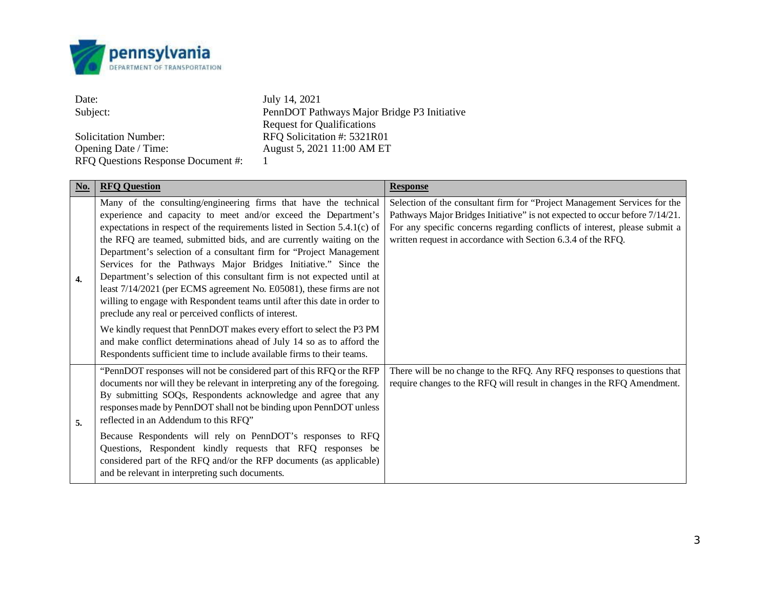

Date: July 14, 2021<br>Subject: PennDOT Pat PennDOT Pathways Major Bridge P3 Initiative Request for Qualifications Solicitation Number:<br>
Opening Date / Time: RFQ Solicitation #: 5321R01<br>
August 5, 2021 11:00 AM ET August 5, 2021 11:00 AM ET RFQ Questions Response Document #: 1

| No. | <b>RFQ Question</b>                                                                                                                                                                                                                                                                                                                                                                                                                                                                                                                                                                                                                                                                                                       | <b>Response</b>                                                                                                                                                                                                                                                                                        |
|-----|---------------------------------------------------------------------------------------------------------------------------------------------------------------------------------------------------------------------------------------------------------------------------------------------------------------------------------------------------------------------------------------------------------------------------------------------------------------------------------------------------------------------------------------------------------------------------------------------------------------------------------------------------------------------------------------------------------------------------|--------------------------------------------------------------------------------------------------------------------------------------------------------------------------------------------------------------------------------------------------------------------------------------------------------|
| 4.  | Many of the consulting/engineering firms that have the technical<br>experience and capacity to meet and/or exceed the Department's<br>expectations in respect of the requirements listed in Section 5.4.1(c) of<br>the RFQ are teamed, submitted bids, and are currently waiting on the<br>Department's selection of a consultant firm for "Project Management<br>Services for the Pathways Major Bridges Initiative." Since the<br>Department's selection of this consultant firm is not expected until at<br>least 7/14/2021 (per ECMS agreement No. E05081), these firms are not<br>willing to engage with Respondent teams until after this date in order to<br>preclude any real or perceived conflicts of interest. | Selection of the consultant firm for "Project Management Services for the<br>Pathways Major Bridges Initiative" is not expected to occur before 7/14/21.<br>For any specific concerns regarding conflicts of interest, please submit a<br>written request in accordance with Section 6.3.4 of the RFQ. |
|     | We kindly request that PennDOT makes every effort to select the P3 PM<br>and make conflict determinations ahead of July 14 so as to afford the<br>Respondents sufficient time to include available firms to their teams.                                                                                                                                                                                                                                                                                                                                                                                                                                                                                                  |                                                                                                                                                                                                                                                                                                        |
| 5.  | "PennDOT responses will not be considered part of this RFQ or the RFP<br>documents nor will they be relevant in interpreting any of the foregoing.<br>By submitting SOQs, Respondents acknowledge and agree that any<br>responses made by PennDOT shall not be binding upon PennDOT unless<br>reflected in an Addendum to this RFQ"                                                                                                                                                                                                                                                                                                                                                                                       | There will be no change to the RFQ. Any RFQ responses to questions that<br>require changes to the RFQ will result in changes in the RFQ Amendment.                                                                                                                                                     |
|     | Because Respondents will rely on PennDOT's responses to RFQ<br>Questions, Respondent kindly requests that RFQ responses be<br>considered part of the RFQ and/or the RFP documents (as applicable)<br>and be relevant in interpreting such documents.                                                                                                                                                                                                                                                                                                                                                                                                                                                                      |                                                                                                                                                                                                                                                                                                        |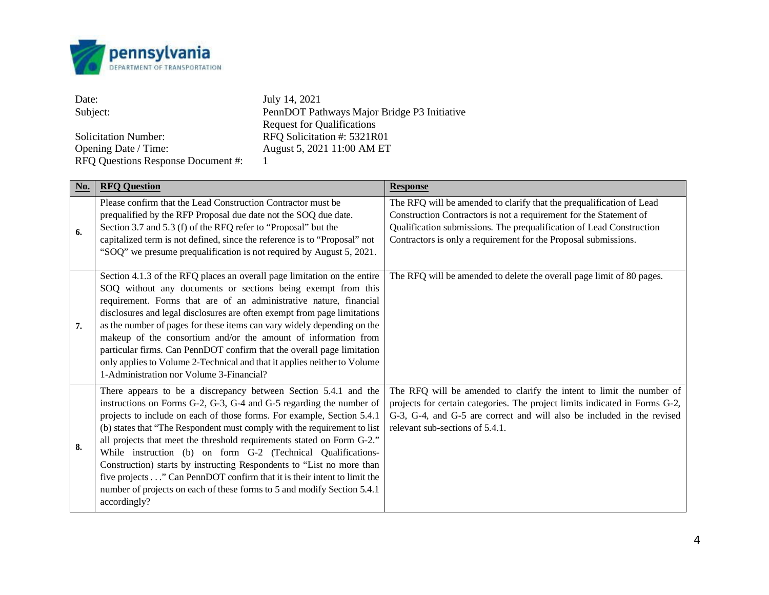

| Date:                              | July 14, 2021                               |
|------------------------------------|---------------------------------------------|
| Subject:                           | PennDOT Pathways Major Bridge P3 Initiative |
|                                    | <b>Request for Qualifications</b>           |
| <b>Solicitation Number:</b>        | RFO Solicitation #: 5321R01                 |
| Opening Date / Time:               | August 5, 2021 11:00 AM ET                  |
| RFQ Questions Response Document #: |                                             |

| No. | <b>RFQ Question</b>                                                                                                                                                                                                                                                                                                                                                                                                                                                                                                                                                                                                                                                                   | <b>Response</b>                                                                                                                                                                                                                                                                       |
|-----|---------------------------------------------------------------------------------------------------------------------------------------------------------------------------------------------------------------------------------------------------------------------------------------------------------------------------------------------------------------------------------------------------------------------------------------------------------------------------------------------------------------------------------------------------------------------------------------------------------------------------------------------------------------------------------------|---------------------------------------------------------------------------------------------------------------------------------------------------------------------------------------------------------------------------------------------------------------------------------------|
| 6.  | Please confirm that the Lead Construction Contractor must be<br>prequalified by the RFP Proposal due date not the SOQ due date.<br>Section 3.7 and 5.3 (f) of the RFQ refer to "Proposal" but the<br>capitalized term is not defined, since the reference is to "Proposal" not<br>"SOQ" we presume prequalification is not required by August 5, 2021.                                                                                                                                                                                                                                                                                                                                | The RFQ will be amended to clarify that the prequalification of Lead<br>Construction Contractors is not a requirement for the Statement of<br>Qualification submissions. The prequalification of Lead Construction<br>Contractors is only a requirement for the Proposal submissions. |
| 7.  | Section 4.1.3 of the RFQ places an overall page limitation on the entire<br>SOQ without any documents or sections being exempt from this<br>requirement. Forms that are of an administrative nature, financial<br>disclosures and legal disclosures are often exempt from page limitations<br>as the number of pages for these items can vary widely depending on the<br>makeup of the consortium and/or the amount of information from<br>particular firms. Can PennDOT confirm that the overall page limitation<br>only applies to Volume 2-Technical and that it applies neither to Volume<br>1-Administration nor Volume 3-Financial?                                             | The RFQ will be amended to delete the overall page limit of 80 pages.                                                                                                                                                                                                                 |
| 8.  | There appears to be a discrepancy between Section 5.4.1 and the<br>instructions on Forms G-2, G-3, G-4 and G-5 regarding the number of<br>projects to include on each of those forms. For example, Section 5.4.1<br>(b) states that "The Respondent must comply with the requirement to list<br>all projects that meet the threshold requirements stated on Form G-2."<br>While instruction (b) on form G-2 (Technical Qualifications-<br>Construction) starts by instructing Respondents to "List no more than<br>five projects" Can PennDOT confirm that it is their intent to limit the<br>number of projects on each of these forms to 5 and modify Section 5.4.1<br>accordingly? | The RFQ will be amended to clarify the intent to limit the number of<br>projects for certain categories. The project limits indicated in Forms G-2,<br>G-3, G-4, and G-5 are correct and will also be included in the revised<br>relevant sub-sections of 5.4.1.                      |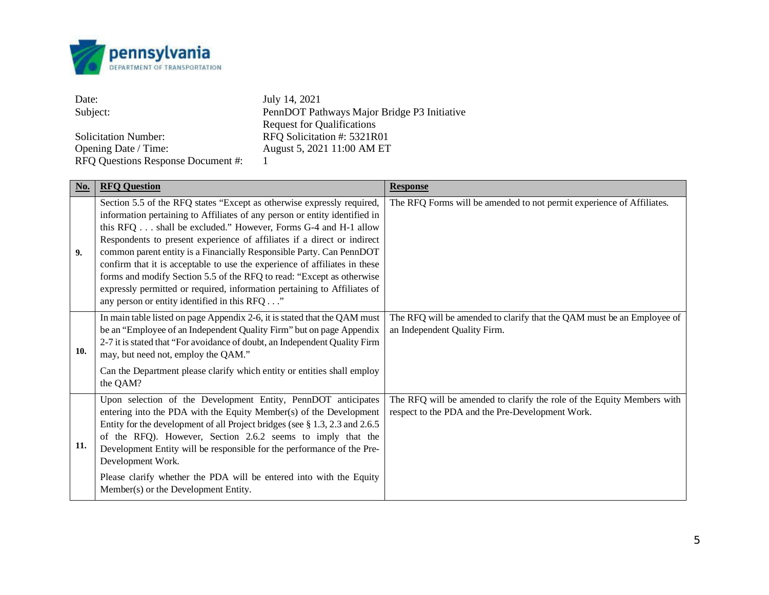

| Date:                              | July 14, 2021                               |
|------------------------------------|---------------------------------------------|
| Subject:                           | PennDOT Pathways Major Bridge P3 Initiative |
|                                    | <b>Request for Qualifications</b>           |
| <b>Solicitation Number:</b>        | RFO Solicitation #: 5321R01                 |
| Opening Date / Time:               | August 5, 2021 11:00 AM ET                  |
| RFQ Questions Response Document #: |                                             |

| $\underline{\mathrm{No}}$ . | <b>RFQ Question</b>                                                                                                                                                                                                                                                                                                                                                                                                                                                                                                                                                                                                                                         | <b>Response</b>                                                                                                            |
|-----------------------------|-------------------------------------------------------------------------------------------------------------------------------------------------------------------------------------------------------------------------------------------------------------------------------------------------------------------------------------------------------------------------------------------------------------------------------------------------------------------------------------------------------------------------------------------------------------------------------------------------------------------------------------------------------------|----------------------------------------------------------------------------------------------------------------------------|
| 9.                          | Section 5.5 of the RFQ states "Except as otherwise expressly required,<br>information pertaining to Affiliates of any person or entity identified in<br>this RFQ shall be excluded." However, Forms G-4 and H-1 allow<br>Respondents to present experience of affiliates if a direct or indirect<br>common parent entity is a Financially Responsible Party. Can PennDOT<br>confirm that it is acceptable to use the experience of affiliates in these<br>forms and modify Section 5.5 of the RFQ to read: "Except as otherwise<br>expressly permitted or required, information pertaining to Affiliates of<br>any person or entity identified in this RFQ" | The RFQ Forms will be amended to not permit experience of Affiliates.                                                      |
| 10.                         | In main table listed on page Appendix 2-6, it is stated that the QAM must<br>be an "Employee of an Independent Quality Firm" but on page Appendix<br>2-7 it is stated that "For avoidance of doubt, an Independent Quality Firm<br>may, but need not, employ the QAM."<br>Can the Department please clarify which entity or entities shall employ<br>the QAM?                                                                                                                                                                                                                                                                                               | The RFQ will be amended to clarify that the QAM must be an Employee of<br>an Independent Quality Firm.                     |
| 11.                         | Upon selection of the Development Entity, PennDOT anticipates<br>entering into the PDA with the Equity Member(s) of the Development<br>Entity for the development of all Project bridges (see § 1.3, 2.3 and 2.6.5)<br>of the RFQ). However, Section 2.6.2 seems to imply that the<br>Development Entity will be responsible for the performance of the Pre-<br>Development Work.<br>Please clarify whether the PDA will be entered into with the Equity<br>Member(s) or the Development Entity.                                                                                                                                                            | The RFQ will be amended to clarify the role of the Equity Members with<br>respect to the PDA and the Pre-Development Work. |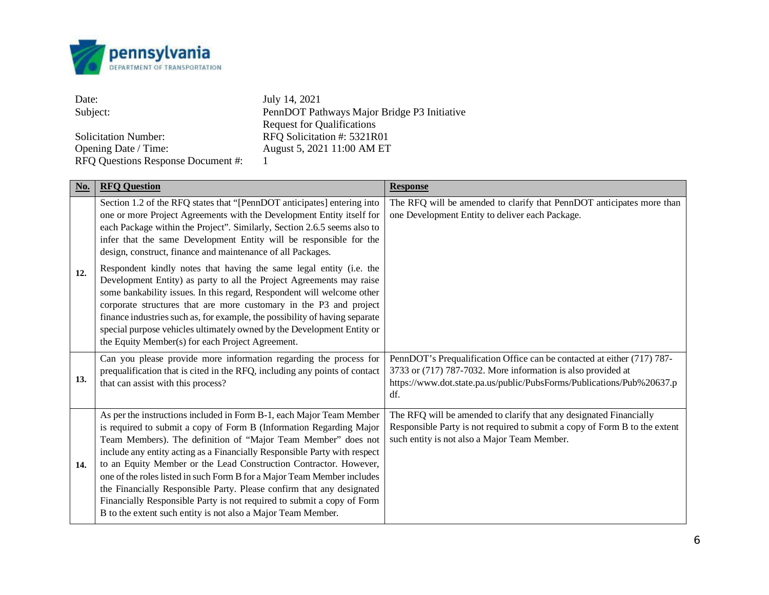

| Date:                              | July 14, 2021                               |
|------------------------------------|---------------------------------------------|
| Subject:                           | PennDOT Pathways Major Bridge P3 Initiative |
|                                    | <b>Request for Qualifications</b>           |
| <b>Solicitation Number:</b>        | RFO Solicitation #: 5321R01                 |
| Opening Date / Time:               | August 5, 2021 11:00 AM ET                  |
| RFQ Questions Response Document #: |                                             |

| <b>No.</b> | <b>RFO Question</b>                                                                                                                                                                                                                                                                                                                                                                                                                                                                                                                                                                                                                                          | <b>Response</b>                                                                                                                                                                                                         |
|------------|--------------------------------------------------------------------------------------------------------------------------------------------------------------------------------------------------------------------------------------------------------------------------------------------------------------------------------------------------------------------------------------------------------------------------------------------------------------------------------------------------------------------------------------------------------------------------------------------------------------------------------------------------------------|-------------------------------------------------------------------------------------------------------------------------------------------------------------------------------------------------------------------------|
|            | Section 1.2 of the RFQ states that "[PennDOT anticipates] entering into<br>one or more Project Agreements with the Development Entity itself for<br>each Package within the Project". Similarly, Section 2.6.5 seems also to<br>infer that the same Development Entity will be responsible for the<br>design, construct, finance and maintenance of all Packages.                                                                                                                                                                                                                                                                                            | The RFQ will be amended to clarify that PennDOT anticipates more than<br>one Development Entity to deliver each Package.                                                                                                |
| 12.        | Respondent kindly notes that having the same legal entity (i.e. the<br>Development Entity) as party to all the Project Agreements may raise<br>some bankability issues. In this regard, Respondent will welcome other<br>corporate structures that are more customary in the P3 and project<br>finance industries such as, for example, the possibility of having separate<br>special purpose vehicles ultimately owned by the Development Entity or<br>the Equity Member(s) for each Project Agreement.                                                                                                                                                     |                                                                                                                                                                                                                         |
| 13.        | Can you please provide more information regarding the process for<br>prequalification that is cited in the RFQ, including any points of contact<br>that can assist with this process?                                                                                                                                                                                                                                                                                                                                                                                                                                                                        | PennDOT's Prequalification Office can be contacted at either (717) 787-<br>3733 or (717) 787-7032. More information is also provided at<br>https://www.dot.state.pa.us/public/PubsForms/Publications/Pub%20637.p<br>df. |
| 14.        | As per the instructions included in Form B-1, each Major Team Member<br>is required to submit a copy of Form B (Information Regarding Major<br>Team Members). The definition of "Major Team Member" does not<br>include any entity acting as a Financially Responsible Party with respect<br>to an Equity Member or the Lead Construction Contractor. However,<br>one of the roles listed in such Form B for a Major Team Member includes<br>the Financially Responsible Party. Please confirm that any designated<br>Financially Responsible Party is not required to submit a copy of Form<br>B to the extent such entity is not also a Major Team Member. | The RFQ will be amended to clarify that any designated Financially<br>Responsible Party is not required to submit a copy of Form B to the extent<br>such entity is not also a Major Team Member.                        |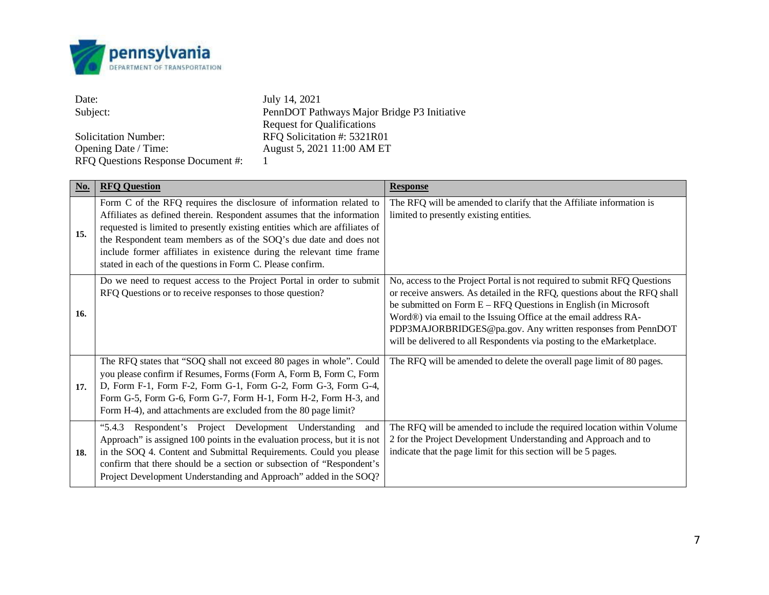

| Date:                              | July 14, 2021                               |
|------------------------------------|---------------------------------------------|
| Subject:                           | PennDOT Pathways Major Bridge P3 Initiative |
|                                    | <b>Request for Qualifications</b>           |
| <b>Solicitation Number:</b>        | RFO Solicitation #: 5321R01                 |
| Opening Date / Time:               | August 5, 2021 11:00 AM ET                  |
| RFQ Questions Response Document #: |                                             |

| No. | <b>RFQ Question</b>                                                                                                                                                                                                                                                                                                                                                                                                                      | <b>Response</b>                                                                                                                                                                                                                                                                                                                                                                                                                       |
|-----|------------------------------------------------------------------------------------------------------------------------------------------------------------------------------------------------------------------------------------------------------------------------------------------------------------------------------------------------------------------------------------------------------------------------------------------|---------------------------------------------------------------------------------------------------------------------------------------------------------------------------------------------------------------------------------------------------------------------------------------------------------------------------------------------------------------------------------------------------------------------------------------|
| 15. | Form C of the RFQ requires the disclosure of information related to<br>Affiliates as defined therein. Respondent assumes that the information<br>requested is limited to presently existing entities which are affiliates of<br>the Respondent team members as of the SOQ's due date and does not<br>include former affiliates in existence during the relevant time frame<br>stated in each of the questions in Form C. Please confirm. | The RFQ will be amended to clarify that the Affiliate information is<br>limited to presently existing entities.                                                                                                                                                                                                                                                                                                                       |
| 16. | Do we need to request access to the Project Portal in order to submit<br>RFQ Questions or to receive responses to those question?                                                                                                                                                                                                                                                                                                        | No, access to the Project Portal is not required to submit RFQ Questions<br>or receive answers. As detailed in the RFQ, questions about the RFQ shall<br>be submitted on Form $E - RFQ$ Questions in English (in Microsoft<br>Word®) via email to the Issuing Office at the email address RA-<br>PDP3MAJORBRIDGES@pa.gov. Any written responses from PennDOT<br>will be delivered to all Respondents via posting to the eMarketplace. |
| 17. | The RFQ states that "SOQ shall not exceed 80 pages in whole". Could<br>you please confirm if Resumes, Forms (Form A, Form B, Form C, Form<br>D, Form F-1, Form F-2, Form G-1, Form G-2, Form G-3, Form G-4,<br>Form G-5, Form G-6, Form G-7, Form H-1, Form H-2, Form H-3, and<br>Form H-4), and attachments are excluded from the 80 page limit?                                                                                        | The RFQ will be amended to delete the overall page limit of 80 pages.                                                                                                                                                                                                                                                                                                                                                                 |
| 18. | "5.4.3 Respondent's Project Development Understanding<br>and<br>Approach" is assigned 100 points in the evaluation process, but it is not<br>in the SOQ 4. Content and Submittal Requirements. Could you please<br>confirm that there should be a section or subsection of "Respondent's<br>Project Development Understanding and Approach" added in the SOQ?                                                                            | The RFQ will be amended to include the required location within Volume<br>2 for the Project Development Understanding and Approach and to<br>indicate that the page limit for this section will be 5 pages.                                                                                                                                                                                                                           |